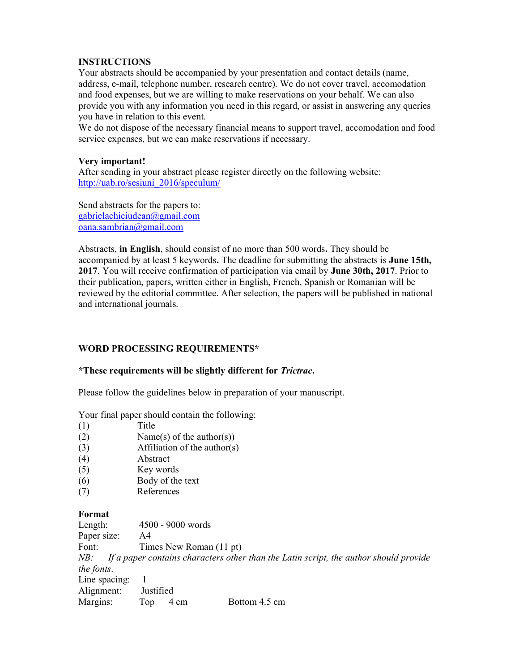## INSTRUCTIONS

Your abstracts should be accompanied by your presentation and contact details (name, address, e-mail, telephone number, research centre). We do not cover travel, accomodation and food expenses, but we are willing to make reservations on your behalf. We can also provide you with any information you need in this regard, or assist in answering any queries you have in relation to this event.

We do not dispose of the necessary financial means to support travel, accomodation and food service expenses, but we can make reservations if necessary.

## Very important!

After sending in your abstract please register directly on the following website: http://uab.ro/sesiuni\_2016/speculum/

Send abstracts for the papers to: gabrielachiciudean@gmail.com oana.sambrian@gmail.com

Abstracts, in English, should consist of no more than 500 words. They should be accompanied by at least 5 keywords. The deadline for submitting the abstracts is June 15th, 2017. You will receive confirmation of participation via email by June 30th, 2017. Prior to their publication, papers, written either in English, French, Spanish or Romanian will be reviewed by the editorial committee. After selection, the papers will be published in national and international journals.

# WORD PROCESSING REQUIREMENTS\*

#### \*These requirements will be slightly different for Trictrac.

Please follow the guidelines below in preparation of your manuscript.

Your final paper should contain the following:

- (1) Title
- (2) Name(s) of the author(s))
- (3) Affiliation of the author(s)
- (4) Abstract
- (5) Key words
- (6) Body of the text
- (7) References

#### Format

| Length:                                                                                      | 4500 - 9000 words       |      |               |  |
|----------------------------------------------------------------------------------------------|-------------------------|------|---------------|--|
| Paper size:                                                                                  | A4                      |      |               |  |
| Font:                                                                                        | Times New Roman (11 pt) |      |               |  |
| If a paper contains characters other than the Latin script, the author should provide<br>NB: |                         |      |               |  |
| the fonts.                                                                                   |                         |      |               |  |
| Line spacing:                                                                                |                         |      |               |  |
| Alignment:                                                                                   | Justified               |      |               |  |
| Margins:                                                                                     | Top                     | 4 cm | Bottom 4.5 cm |  |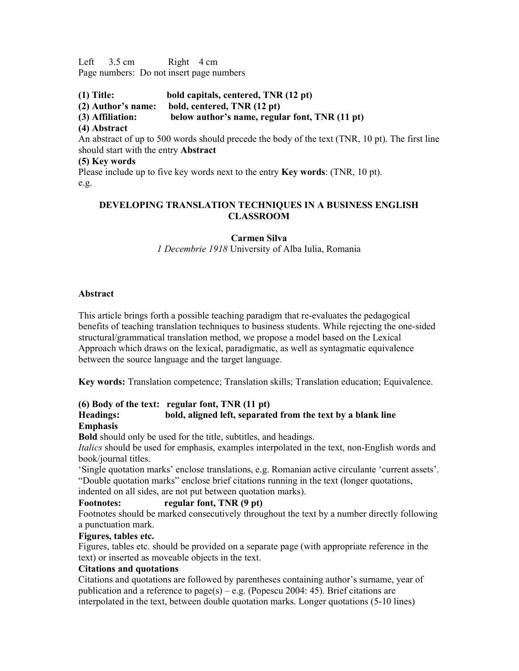Left  $3.5 \text{ cm}$  Right  $4 \text{ cm}$ Page numbers: Do not insert page numbers

(1) Title: bold capitals, centered, TNR (12 pt)

- (2) Author's name: bold, centered, TNR (12 pt)
- (3) Affiliation: below author's name, regular font, TNR (11 pt)
- (4) Abstract

An abstract of up to 500 words should precede the body of the text (TNR, 10 pt). The first line should start with the entry Abstract

## (5) Key words

Please include up to five key words next to the entry Key words: (TNR, 10 pt). e.g.

# DEVELOPING TRANSLATION TECHNIQUES IN A BUSINESS ENGLISH CLASSROOM

# Carmen Silva

1 Decembrie 1918 University of Alba Iulia, Romania

## Abstract

This article brings forth a possible teaching paradigm that re-evaluates the pedagogical benefits of teaching translation techniques to business students. While rejecting the one-sided structural/grammatical translation method, we propose a model based on the Lexical Approach which draws on the lexical, paradigmatic, as well as syntagmatic equivalence between the source language and the target language.

Key words: Translation competence; Translation skills; Translation education; Equivalence.

# (6) Body of the text: regular font, TNR (11 pt)

#### Headings: bold, aligned left, separated from the text by a blank line Emphasis

Bold should only be used for the title, subtitles, and headings.

Italics should be used for emphasis, examples interpolated in the text, non-English words and book/journal titles.

'Single quotation marks' enclose translations, e.g. Romanian active circulante 'current assets'. "Double quotation marks" enclose brief citations running in the text (longer quotations,

indented on all sides, are not put between quotation marks).

# Footnotes: regular font, TNR (9 pt)

Footnotes should be marked consecutively throughout the text by a number directly following a punctuation mark.

# Figures, tables etc.

Figures, tables etc. should be provided on a separate page (with appropriate reference in the text) or inserted as moveable objects in the text.

# Citations and quotations

Citations and quotations are followed by parentheses containing author's surname, year of publication and a reference to page(s) – e.g. (Popescu 2004: 45). Brief citations are interpolated in the text, between double quotation marks. Longer quotations (5-10 lines)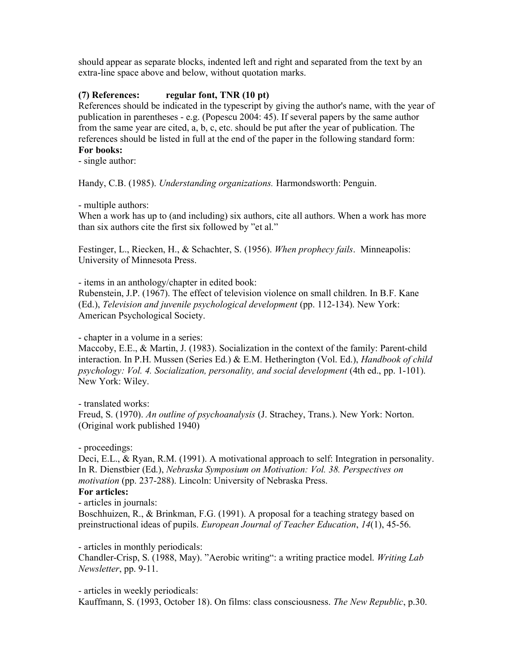should appear as separate blocks, indented left and right and separated from the text by an extra-line space above and below, without quotation marks.

## (7) References: regular font, TNR  $(10 \text{ pt})$

References should be indicated in the typescript by giving the author's name, with the year of publication in parentheses - e.g. (Popescu 2004: 45). If several papers by the same author from the same year are cited, a, b, c, etc. should be put after the year of publication. The references should be listed in full at the end of the paper in the following standard form: For books:

- single author:

Handy, C.B. (1985). Understanding organizations. Harmondsworth: Penguin.

- multiple authors:

When a work has up to (and including) six authors, cite all authors. When a work has more than six authors cite the first six followed by "et al."

Festinger, L., Riecken, H., & Schachter, S. (1956). When prophecy fails. Minneapolis: University of Minnesota Press.

- items in an anthology/chapter in edited book:

Rubenstein, J.P. (1967). The effect of television violence on small children. In B.F. Kane (Ed.), Television and juvenile psychological development (pp. 112-134). New York: American Psychological Society.

- chapter in a volume in a series:

Maccoby, E.E., & Martin, J. (1983). Socialization in the context of the family: Parent-child interaction. In P.H. Mussen (Series Ed.) & E.M. Hetherington (Vol. Ed.), Handbook of child psychology: Vol. 4. Socialization, personality, and social development (4th ed., pp. 1-101). New York: Wiley.

- translated works:

Freud, S. (1970). An outline of psychoanalysis (J. Strachey, Trans.). New York: Norton. (Original work published 1940)

- proceedings:

Deci, E.L., & Ryan, R.M. (1991). A motivational approach to self: Integration in personality. In R. Dienstbier (Ed.), Nebraska Symposium on Motivation: Vol. 38. Perspectives on motivation (pp. 237-288). Lincoln: University of Nebraska Press.

#### For articles:

- articles in journals:

Boschhuizen, R., & Brinkman, F.G. (1991). A proposal for a teaching strategy based on preinstructional ideas of pupils. European Journal of Teacher Education, 14(1), 45-56.

- articles in monthly periodicals:

Chandler-Crisp, S. (1988, May). "Aerobic writing": a writing practice model. Writing Lab Newsletter, pp. 9-11.

- articles in weekly periodicals:

Kauffmann, S. (1993, October 18). On films: class consciousness. The New Republic, p.30.